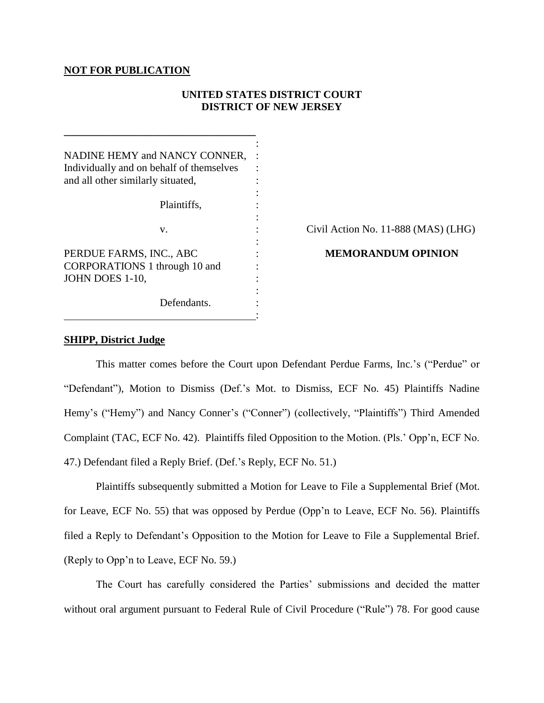## **NOT FOR PUBLICATION**

**\_\_\_\_\_\_\_\_\_\_\_\_\_\_\_\_\_\_\_\_\_\_\_\_\_\_\_\_\_\_\_\_\_\_\_\_**

# **UNITED STATES DISTRICT COURT DISTRICT OF NEW JERSEY**

| NADINE HEMY and NANCY CONNER,            |                                     |
|------------------------------------------|-------------------------------------|
| Individually and on behalf of themselves |                                     |
| and all other similarly situated,        |                                     |
|                                          |                                     |
| Plaintiffs,                              |                                     |
|                                          |                                     |
| V.                                       | Civil Action No. 11-888 (MAS) (LHG) |
|                                          |                                     |
| PERDUE FARMS, INC., ABC                  | <b>MEMORANDUM OPINION</b>           |
| CORPORATIONS 1 through 10 and            |                                     |
| JOHN DOES 1-10,                          |                                     |
|                                          |                                     |
| Defendants.                              |                                     |
|                                          |                                     |

## **SHIPP, District Judge**

This matter comes before the Court upon Defendant Perdue Farms, Inc."s ("Perdue" or "Defendant"), Motion to Dismiss (Def."s Mot. to Dismiss, ECF No. 45) Plaintiffs Nadine Hemy's ("Hemy") and Nancy Conner's ("Conner") (collectively, "Plaintiffs") Third Amended Complaint (TAC, ECF No. 42). Plaintiffs filed Opposition to the Motion. (Pls." Opp"n, ECF No. 47.) Defendant filed a Reply Brief. (Def."s Reply, ECF No. 51.)

Plaintiffs subsequently submitted a Motion for Leave to File a Supplemental Brief (Mot. for Leave, ECF No. 55) that was opposed by Perdue (Opp'n to Leave, ECF No. 56). Plaintiffs filed a Reply to Defendant's Opposition to the Motion for Leave to File a Supplemental Brief. (Reply to Opp"n to Leave, ECF No. 59.)

The Court has carefully considered the Parties' submissions and decided the matter without oral argument pursuant to Federal Rule of Civil Procedure ("Rule") 78. For good cause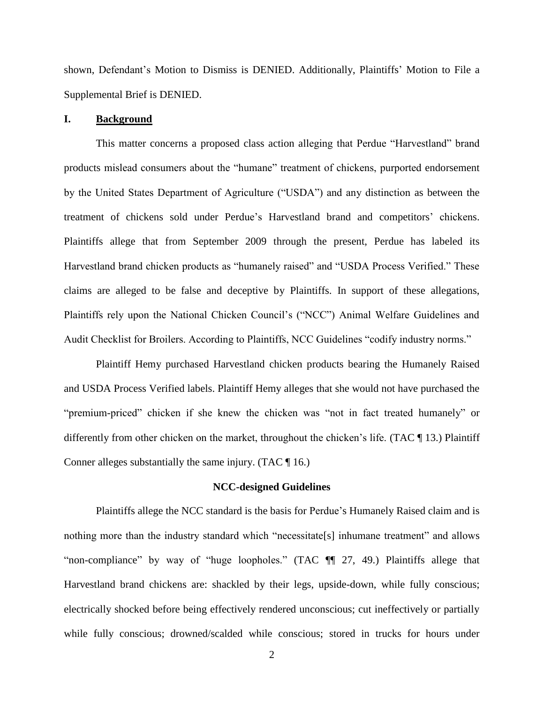shown, Defendant"s Motion to Dismiss is DENIED. Additionally, Plaintiffs" Motion to File a Supplemental Brief is DENIED.

## **I. Background**

This matter concerns a proposed class action alleging that Perdue "Harvestland" brand products mislead consumers about the "humane" treatment of chickens, purported endorsement by the United States Department of Agriculture ("USDA") and any distinction as between the treatment of chickens sold under Perdue"s Harvestland brand and competitors" chickens. Plaintiffs allege that from September 2009 through the present, Perdue has labeled its Harvestland brand chicken products as "humanely raised" and "USDA Process Verified." These claims are alleged to be false and deceptive by Plaintiffs. In support of these allegations, Plaintiffs rely upon the National Chicken Council's ("NCC") Animal Welfare Guidelines and Audit Checklist for Broilers. According to Plaintiffs, NCC Guidelines "codify industry norms."

Plaintiff Hemy purchased Harvestland chicken products bearing the Humanely Raised and USDA Process Verified labels. Plaintiff Hemy alleges that she would not have purchased the "premium-priced" chicken if she knew the chicken was "not in fact treated humanely" or differently from other chicken on the market, throughout the chicken"s life. (TAC ¶ 13.) Plaintiff Conner alleges substantially the same injury. (TAC ¶ 16.)

## **NCC-designed Guidelines**

Plaintiffs allege the NCC standard is the basis for Perdue"s Humanely Raised claim and is nothing more than the industry standard which "necessitate<sup>[s]</sup> inhumane treatment" and allows "non-compliance" by way of "huge loopholes." (TAC ¶¶ 27, 49.) Plaintiffs allege that Harvestland brand chickens are: shackled by their legs, upside-down, while fully conscious; electrically shocked before being effectively rendered unconscious; cut ineffectively or partially while fully conscious; drowned/scalded while conscious; stored in trucks for hours under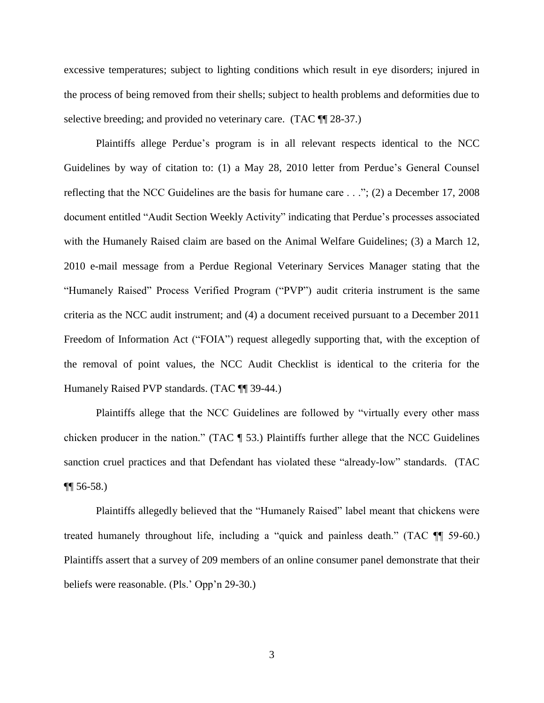excessive temperatures; subject to lighting conditions which result in eye disorders; injured in the process of being removed from their shells; subject to health problems and deformities due to selective breeding; and provided no veterinary care. (TAC  $\P$  28-37.)

Plaintiffs allege Perdue"s program is in all relevant respects identical to the NCC Guidelines by way of citation to: (1) a May 28, 2010 letter from Perdue"s General Counsel reflecting that the NCC Guidelines are the basis for humane care . . ."; (2) a December 17, 2008 document entitled "Audit Section Weekly Activity" indicating that Perdue's processes associated with the Humanely Raised claim are based on the Animal Welfare Guidelines; (3) a March 12, 2010 e-mail message from a Perdue Regional Veterinary Services Manager stating that the "Humanely Raised" Process Verified Program ("PVP") audit criteria instrument is the same criteria as the NCC audit instrument; and (4) a document received pursuant to a December 2011 Freedom of Information Act ("FOIA") request allegedly supporting that, with the exception of the removal of point values, the NCC Audit Checklist is identical to the criteria for the Humanely Raised PVP standards. (TAC ¶¶ 39-44.)

Plaintiffs allege that the NCC Guidelines are followed by "virtually every other mass chicken producer in the nation." (TAC ¶ 53.) Plaintiffs further allege that the NCC Guidelines sanction cruel practices and that Defendant has violated these "already-low" standards. (TAC  $\P\P$  56-58.)

Plaintiffs allegedly believed that the "Humanely Raised" label meant that chickens were treated humanely throughout life, including a "quick and painless death." (TAC ¶¶ 59-60.) Plaintiffs assert that a survey of 209 members of an online consumer panel demonstrate that their beliefs were reasonable. (Pls.' Opp'n 29-30.)

3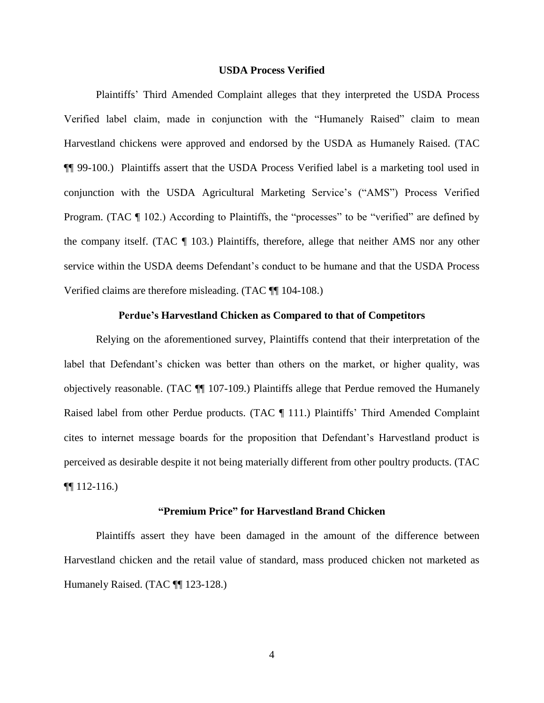#### **USDA Process Verified**

Plaintiffs" Third Amended Complaint alleges that they interpreted the USDA Process Verified label claim, made in conjunction with the "Humanely Raised" claim to mean Harvestland chickens were approved and endorsed by the USDA as Humanely Raised. (TAC ¶¶ 99-100.) Plaintiffs assert that the USDA Process Verified label is a marketing tool used in conjunction with the USDA Agricultural Marketing Service"s ("AMS") Process Verified Program. (TAC  $\P$  102.) According to Plaintiffs, the "processes" to be "verified" are defined by the company itself. (TAC ¶ 103.) Plaintiffs, therefore, allege that neither AMS nor any other service within the USDA deems Defendant's conduct to be humane and that the USDA Process Verified claims are therefore misleading. (TAC ¶¶ 104-108.)

## **Perdue's Harvestland Chicken as Compared to that of Competitors**

Relying on the aforementioned survey, Plaintiffs contend that their interpretation of the label that Defendant's chicken was better than others on the market, or higher quality, was objectively reasonable. (TAC ¶¶ 107-109.) Plaintiffs allege that Perdue removed the Humanely Raised label from other Perdue products. (TAC ¶ 111.) Plaintiffs' Third Amended Complaint cites to internet message boards for the proposition that Defendant"s Harvestland product is perceived as desirable despite it not being materially different from other poultry products. (TAC  $\P$ [112-116.)

### **"Premium Price" for Harvestland Brand Chicken**

Plaintiffs assert they have been damaged in the amount of the difference between Harvestland chicken and the retail value of standard, mass produced chicken not marketed as Humanely Raised. (TAC ¶¶ 123-128.)

4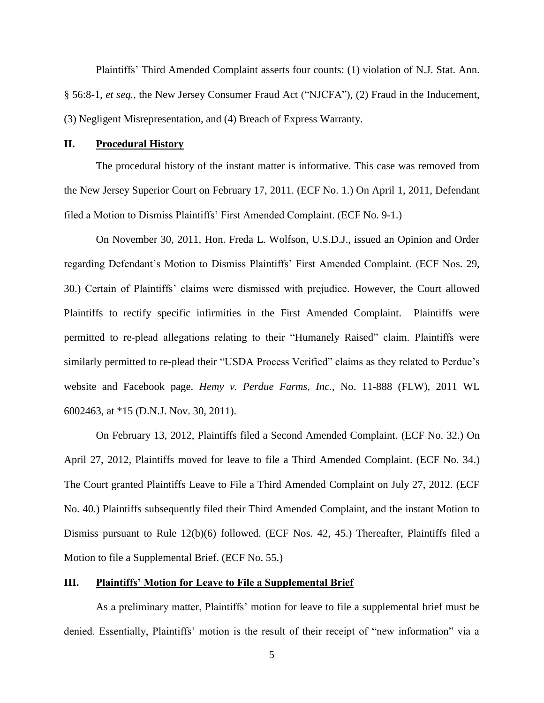Plaintiffs" Third Amended Complaint asserts four counts: (1) violation of N.J. Stat. Ann. § 56:8-1, *et seq.*, the New Jersey Consumer Fraud Act ("NJCFA"), (2) Fraud in the Inducement, (3) Negligent Misrepresentation, and (4) Breach of Express Warranty.

### **II. Procedural History**

The procedural history of the instant matter is informative. This case was removed from the New Jersey Superior Court on February 17, 2011. (ECF No. 1.) On April 1, 2011, Defendant filed a Motion to Dismiss Plaintiffs" First Amended Complaint. (ECF No. 9-1.)

On November 30, 2011, Hon. Freda L. Wolfson, U.S.D.J., issued an Opinion and Order regarding Defendant"s Motion to Dismiss Plaintiffs" First Amended Complaint. (ECF Nos. 29, 30.) Certain of Plaintiffs" claims were dismissed with prejudice. However, the Court allowed Plaintiffs to rectify specific infirmities in the First Amended Complaint. Plaintiffs were permitted to re-plead allegations relating to their "Humanely Raised" claim. Plaintiffs were similarly permitted to re-plead their "USDA Process Verified" claims as they related to Perdue's website and Facebook page. *Hemy v. Perdue Farms, Inc.*, No. 11-888 (FLW), 2011 WL 6002463, at \*15 (D.N.J. Nov. 30, 2011).

On February 13, 2012, Plaintiffs filed a Second Amended Complaint. (ECF No. 32.) On April 27, 2012, Plaintiffs moved for leave to file a Third Amended Complaint. (ECF No. 34.) The Court granted Plaintiffs Leave to File a Third Amended Complaint on July 27, 2012. (ECF No. 40.) Plaintiffs subsequently filed their Third Amended Complaint, and the instant Motion to Dismiss pursuant to Rule 12(b)(6) followed. (ECF Nos. 42, 45.) Thereafter, Plaintiffs filed a Motion to file a Supplemental Brief. (ECF No. 55.)

## **III. Plaintiffs' Motion for Leave to File a Supplemental Brief**

As a preliminary matter, Plaintiffs" motion for leave to file a supplemental brief must be denied. Essentially, Plaintiffs" motion is the result of their receipt of "new information" via a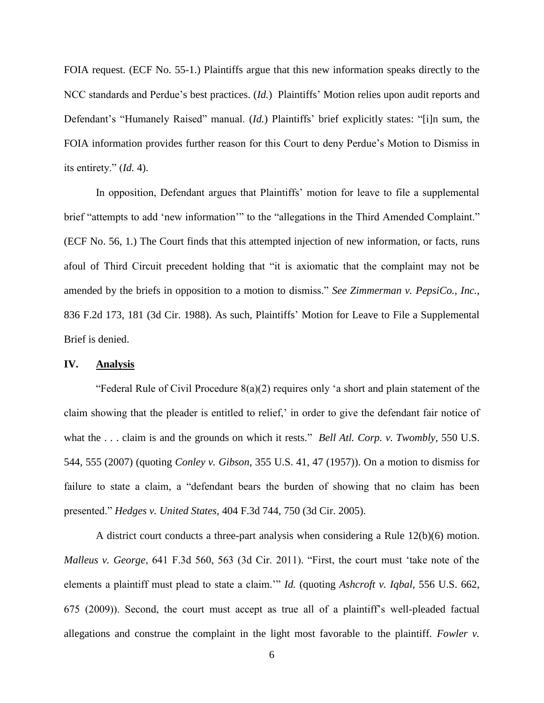FOIA request. (ECF No. 55-1.) Plaintiffs argue that this new information speaks directly to the NCC standards and Perdue's best practices. (*Id.*) Plaintiffs' Motion relies upon audit reports and Defendant's "Humanely Raised" manual. (*Id.*) Plaintiffs' brief explicitly states: "[i]n sum, the FOIA information provides further reason for this Court to deny Perdue"s Motion to Dismiss in its entirety." (*Id.* 4).

In opposition, Defendant argues that Plaintiffs' motion for leave to file a supplemental brief "attempts to add 'new information'" to the "allegations in the Third Amended Complaint." (ECF No. 56, 1.) The Court finds that this attempted injection of new information, or facts, runs afoul of Third Circuit precedent holding that "it is axiomatic that the complaint may not be amended by the briefs in opposition to a motion to dismiss." *See Zimmerman v. PepsiCo., Inc.*, 836 F.2d 173, 181 (3d Cir. 1988). As such, Plaintiffs" Motion for Leave to File a Supplemental Brief is denied.

## **IV. Analysis**

"Federal Rule of Civil Procedure  $8(a)(2)$  requires only 'a short and plain statement of the claim showing that the pleader is entitled to relief," in order to give the defendant fair notice of what the . . . claim is and the grounds on which it rests." *Bell Atl. Corp. v. Twombly*, 550 U.S. 544, 555 (2007) (quoting *Conley v. Gibson*, 355 U.S. 41, 47 (1957)). On a motion to dismiss for failure to state a claim, a "defendant bears the burden of showing that no claim has been presented." *Hedges v. United States*, 404 F.3d 744, 750 (3d Cir. 2005).

A district court conducts a three-part analysis when considering a Rule 12(b)(6) motion. *Malleus v. George*, 641 F.3d 560, 563 (3d Cir. 2011). "First, the court must "take note of the elements a plaintiff must plead to state a claim."" *Id.* (quoting *Ashcroft v. Iqbal*, 556 U.S. 662, 675 (2009)). Second, the court must accept as true all of a plaintiff"s well-pleaded factual allegations and construe the complaint in the light most favorable to the plaintiff. *Fowler v.*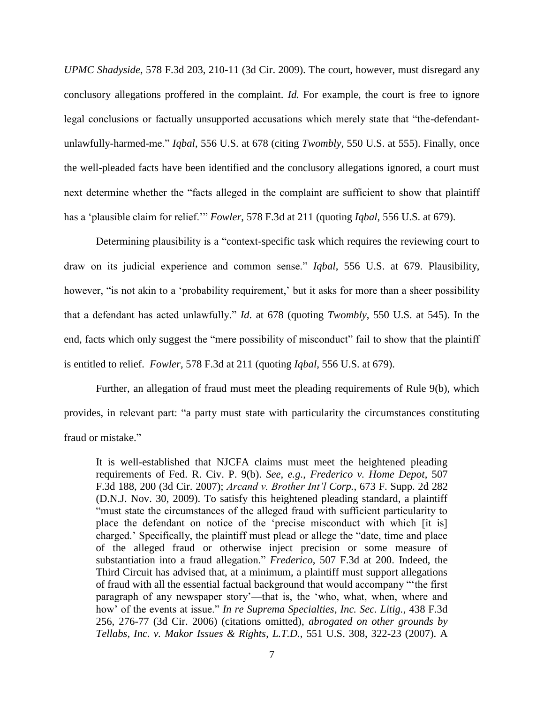*UPMC Shadyside*, 578 F.3d 203, 210-11 (3d Cir. 2009). The court, however, must disregard any conclusory allegations proffered in the complaint. *Id.* For example, the court is free to ignore legal conclusions or factually unsupported accusations which merely state that "the-defendantunlawfully-harmed-me." *Iqbal*, 556 U.S. at 678 (citing *Twombly*, 550 U.S. at 555). Finally, once the well-pleaded facts have been identified and the conclusory allegations ignored, a court must next determine whether the "facts alleged in the complaint are sufficient to show that plaintiff has a "plausible claim for relief."" *Fowler*, 578 F.3d at 211 (quoting *Iqbal*, 556 U.S. at 679).

Determining plausibility is a "context-specific task which requires the reviewing court to draw on its judicial experience and common sense." *Iqbal*, 556 U.S. at 679. Plausibility, however, "is not akin to a 'probability requirement,' but it asks for more than a sheer possibility that a defendant has acted unlawfully." *Id*. at 678 (quoting *Twombly*, 550 U.S. at 545). In the end, facts which only suggest the "mere possibility of misconduct" fail to show that the plaintiff is entitled to relief. *Fowler*, 578 F.3d at 211 (quoting *Iqbal*, 556 U.S. at 679).

Further, an allegation of fraud must meet the pleading requirements of Rule 9(b), which provides, in relevant part: "a party must state with particularity the circumstances constituting fraud or mistake."

It is well-established that NJCFA claims must meet the heightened pleading requirements of Fed. R. Civ. P. 9(b). *See*, *e.g.*, *Frederico v. Home Depot*, 507 F.3d 188, 200 (3d Cir. 2007); *Arcand v. Brother Int'l Corp.*, 673 F. Supp. 2d 282 (D.N.J. Nov. 30, 2009). To satisfy this heightened pleading standard, a plaintiff "must state the circumstances of the alleged fraud with sufficient particularity to place the defendant on notice of the "precise misconduct with which [it is] charged." Specifically, the plaintiff must plead or allege the "date, time and place of the alleged fraud or otherwise inject precision or some measure of substantiation into a fraud allegation." *Frederico*, 507 F.3d at 200. Indeed, the Third Circuit has advised that, at a minimum, a plaintiff must support allegations of fraud with all the essential factual background that would accompany ""the first paragraph of any newspaper story"—that is, the "who, what, when, where and how" of the events at issue." *In re Suprema Specialties*, *Inc. Sec. Litig.*, 438 F.3d 256, 276-77 (3d Cir. 2006) (citations omitted), *abrogated on other grounds by Tellabs, Inc. v. Makor Issues & Rights*, *L.T.D.*, 551 U.S. 308, 322-23 (2007). A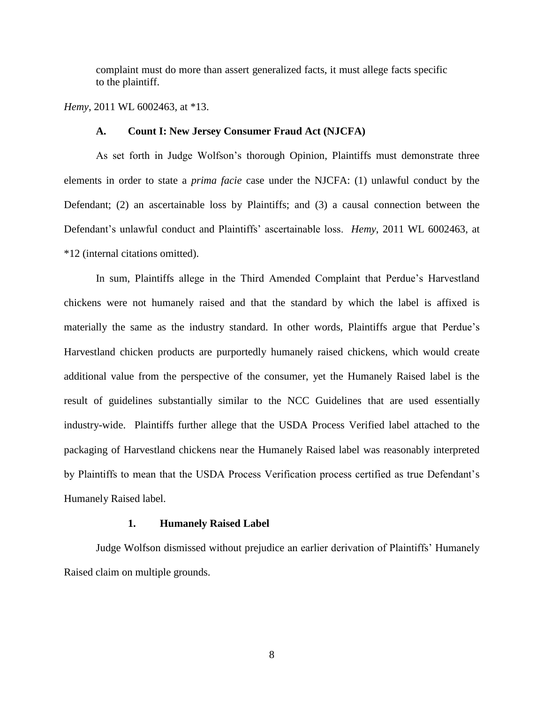complaint must do more than assert generalized facts, it must allege facts specific to the plaintiff.

*Hemy*, 2011 WL 6002463, at \*13.

# **A. Count I: New Jersey Consumer Fraud Act (NJCFA)**

As set forth in Judge Wolfson"s thorough Opinion, Plaintiffs must demonstrate three elements in order to state a *prima facie* case under the NJCFA: (1) unlawful conduct by the Defendant; (2) an ascertainable loss by Plaintiffs; and (3) a causal connection between the Defendant"s unlawful conduct and Plaintiffs" ascertainable loss. *Hemy*, 2011 WL 6002463, at \*12 (internal citations omitted).

In sum, Plaintiffs allege in the Third Amended Complaint that Perdue"s Harvestland chickens were not humanely raised and that the standard by which the label is affixed is materially the same as the industry standard. In other words, Plaintiffs argue that Perdue"s Harvestland chicken products are purportedly humanely raised chickens, which would create additional value from the perspective of the consumer, yet the Humanely Raised label is the result of guidelines substantially similar to the NCC Guidelines that are used essentially industry-wide. Plaintiffs further allege that the USDA Process Verified label attached to the packaging of Harvestland chickens near the Humanely Raised label was reasonably interpreted by Plaintiffs to mean that the USDA Process Verification process certified as true Defendant's Humanely Raised label.

### **1. Humanely Raised Label**

Judge Wolfson dismissed without prejudice an earlier derivation of Plaintiffs" Humanely Raised claim on multiple grounds.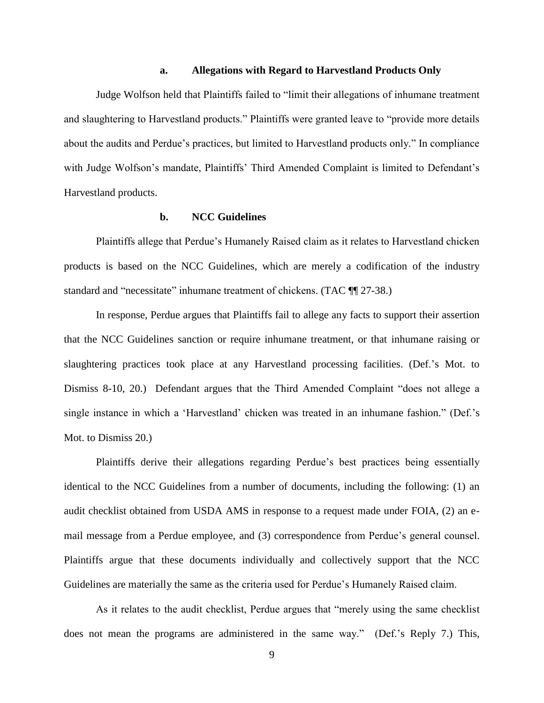### **a. Allegations with Regard to Harvestland Products Only**

Judge Wolfson held that Plaintiffs failed to "limit their allegations of inhumane treatment and slaughtering to Harvestland products." Plaintiffs were granted leave to "provide more details about the audits and Perdue"s practices, but limited to Harvestland products only." In compliance with Judge Wolfson's mandate, Plaintiffs' Third Amended Complaint is limited to Defendant's Harvestland products.

# **b. NCC Guidelines**

Plaintiffs allege that Perdue"s Humanely Raised claim as it relates to Harvestland chicken products is based on the NCC Guidelines, which are merely a codification of the industry standard and "necessitate" inhumane treatment of chickens. (TAC  $\P$  27-38.)

In response, Perdue argues that Plaintiffs fail to allege any facts to support their assertion that the NCC Guidelines sanction or require inhumane treatment, or that inhumane raising or slaughtering practices took place at any Harvestland processing facilities. (Def."s Mot. to Dismiss 8-10, 20.) Defendant argues that the Third Amended Complaint "does not allege a single instance in which a 'Harvestland' chicken was treated in an inhumane fashion." (Def.'s Mot. to Dismiss 20.)

Plaintiffs derive their allegations regarding Perdue"s best practices being essentially identical to the NCC Guidelines from a number of documents, including the following: (1) an audit checklist obtained from USDA AMS in response to a request made under FOIA, (2) an email message from a Perdue employee, and (3) correspondence from Perdue"s general counsel. Plaintiffs argue that these documents individually and collectively support that the NCC Guidelines are materially the same as the criteria used for Perdue"s Humanely Raised claim.

As it relates to the audit checklist, Perdue argues that "merely using the same checklist does not mean the programs are administered in the same way." (Def.'s Reply 7.) This,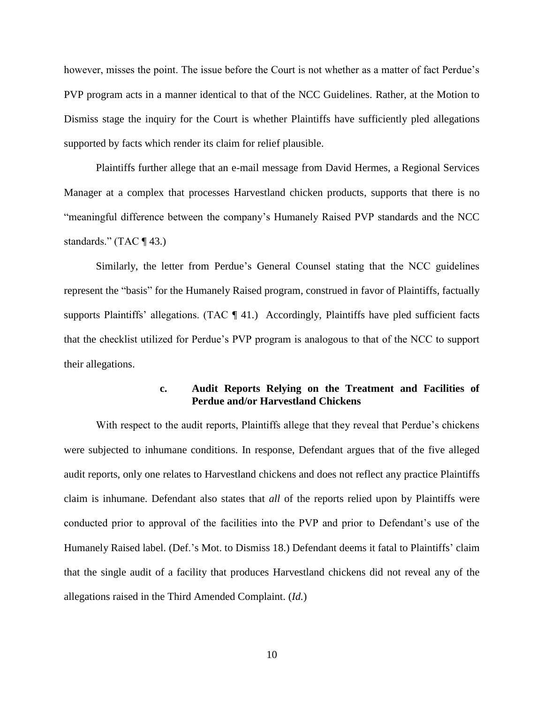however, misses the point. The issue before the Court is not whether as a matter of fact Perdue"s PVP program acts in a manner identical to that of the NCC Guidelines. Rather, at the Motion to Dismiss stage the inquiry for the Court is whether Plaintiffs have sufficiently pled allegations supported by facts which render its claim for relief plausible.

Plaintiffs further allege that an e-mail message from David Hermes, a Regional Services Manager at a complex that processes Harvestland chicken products, supports that there is no "meaningful difference between the company"s Humanely Raised PVP standards and the NCC standards." (TAC  $\P$  43.)

Similarly, the letter from Perdue"s General Counsel stating that the NCC guidelines represent the "basis" for the Humanely Raised program, construed in favor of Plaintiffs, factually supports Plaintiffs' allegations. (TAC  $\P$  41.) Accordingly, Plaintiffs have pled sufficient facts that the checklist utilized for Perdue"s PVP program is analogous to that of the NCC to support their allegations.

# **c. Audit Reports Relying on the Treatment and Facilities of Perdue and/or Harvestland Chickens**

With respect to the audit reports, Plaintiffs allege that they reveal that Perdue's chickens were subjected to inhumane conditions. In response, Defendant argues that of the five alleged audit reports, only one relates to Harvestland chickens and does not reflect any practice Plaintiffs claim is inhumane. Defendant also states that *all* of the reports relied upon by Plaintiffs were conducted prior to approval of the facilities into the PVP and prior to Defendant's use of the Humanely Raised label. (Def."s Mot. to Dismiss 18.) Defendant deems it fatal to Plaintiffs" claim that the single audit of a facility that produces Harvestland chickens did not reveal any of the allegations raised in the Third Amended Complaint. (*Id.*)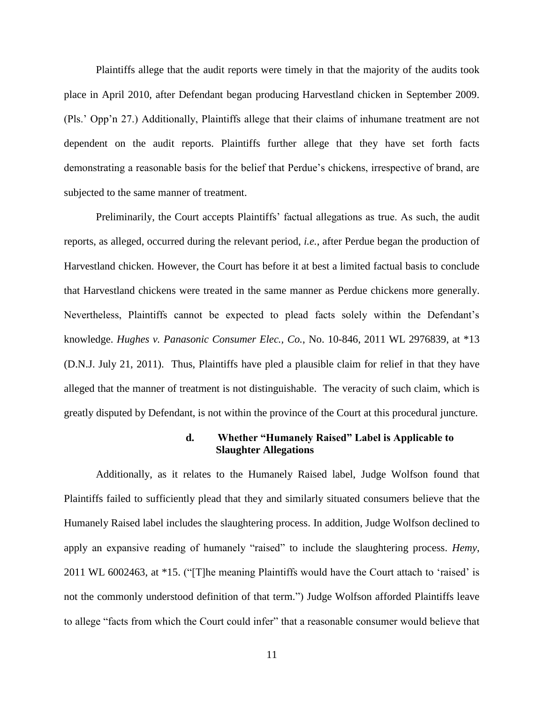Plaintiffs allege that the audit reports were timely in that the majority of the audits took place in April 2010, after Defendant began producing Harvestland chicken in September 2009. (Pls." Opp"n 27.) Additionally, Plaintiffs allege that their claims of inhumane treatment are not dependent on the audit reports. Plaintiffs further allege that they have set forth facts demonstrating a reasonable basis for the belief that Perdue"s chickens, irrespective of brand, are subjected to the same manner of treatment.

Preliminarily, the Court accepts Plaintiffs' factual allegations as true. As such, the audit reports, as alleged, occurred during the relevant period, *i.e.*, after Perdue began the production of Harvestland chicken. However, the Court has before it at best a limited factual basis to conclude that Harvestland chickens were treated in the same manner as Perdue chickens more generally. Nevertheless, Plaintiffs cannot be expected to plead facts solely within the Defendant"s knowledge. *Hughes v. Panasonic Consumer Elec., Co.*, No. 10-846, 2011 WL 2976839, at \*13 (D.N.J. July 21, 2011). Thus, Plaintiffs have pled a plausible claim for relief in that they have alleged that the manner of treatment is not distinguishable. The veracity of such claim, which is greatly disputed by Defendant, is not within the province of the Court at this procedural juncture.

## **d. Whether "Humanely Raised" Label is Applicable to Slaughter Allegations**

Additionally, as it relates to the Humanely Raised label, Judge Wolfson found that Plaintiffs failed to sufficiently plead that they and similarly situated consumers believe that the Humanely Raised label includes the slaughtering process. In addition, Judge Wolfson declined to apply an expansive reading of humanely "raised" to include the slaughtering process. *Hemy*, 2011 WL 6002463, at \*15. ("[T]he meaning Plaintiffs would have the Court attach to "raised" is not the commonly understood definition of that term.") Judge Wolfson afforded Plaintiffs leave to allege "facts from which the Court could infer" that a reasonable consumer would believe that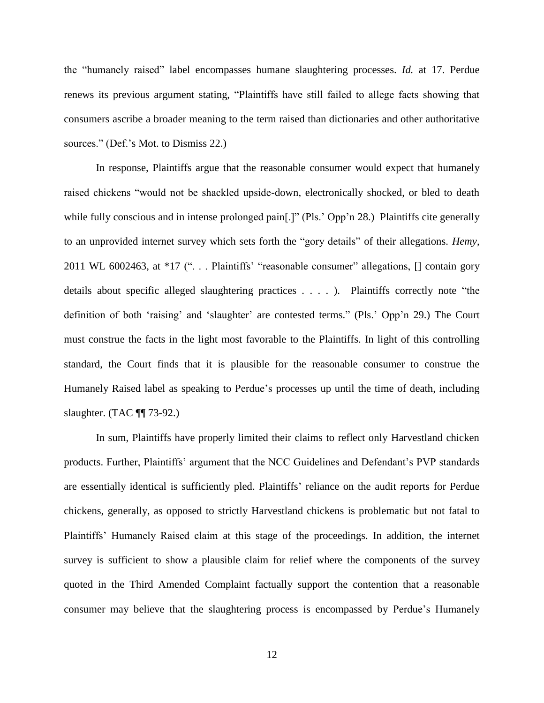the "humanely raised" label encompasses humane slaughtering processes. *Id.* at 17. Perdue renews its previous argument stating, "Plaintiffs have still failed to allege facts showing that consumers ascribe a broader meaning to the term raised than dictionaries and other authoritative sources." (Def.'s Mot. to Dismiss 22.)

In response, Plaintiffs argue that the reasonable consumer would expect that humanely raised chickens "would not be shackled upside-down, electronically shocked, or bled to death while fully conscious and in intense prolonged pain[.]" (Pls.' Opp'n 28.) Plaintiffs cite generally to an unprovided internet survey which sets forth the "gory details" of their allegations. *Hemy*, 2011 WL 6002463, at \*17 ("... Plaintiffs' "reasonable consumer" allegations, [] contain gory details about specific alleged slaughtering practices . . . . ). Plaintiffs correctly note "the definition of both 'raising' and 'slaughter' are contested terms." (Pls.' Opp'n 29.) The Court must construe the facts in the light most favorable to the Plaintiffs. In light of this controlling standard, the Court finds that it is plausible for the reasonable consumer to construe the Humanely Raised label as speaking to Perdue"s processes up until the time of death, including slaughter. (TAC ¶¶ 73-92.)

In sum, Plaintiffs have properly limited their claims to reflect only Harvestland chicken products. Further, Plaintiffs" argument that the NCC Guidelines and Defendant"s PVP standards are essentially identical is sufficiently pled. Plaintiffs" reliance on the audit reports for Perdue chickens, generally, as opposed to strictly Harvestland chickens is problematic but not fatal to Plaintiffs" Humanely Raised claim at this stage of the proceedings. In addition, the internet survey is sufficient to show a plausible claim for relief where the components of the survey quoted in the Third Amended Complaint factually support the contention that a reasonable consumer may believe that the slaughtering process is encompassed by Perdue"s Humanely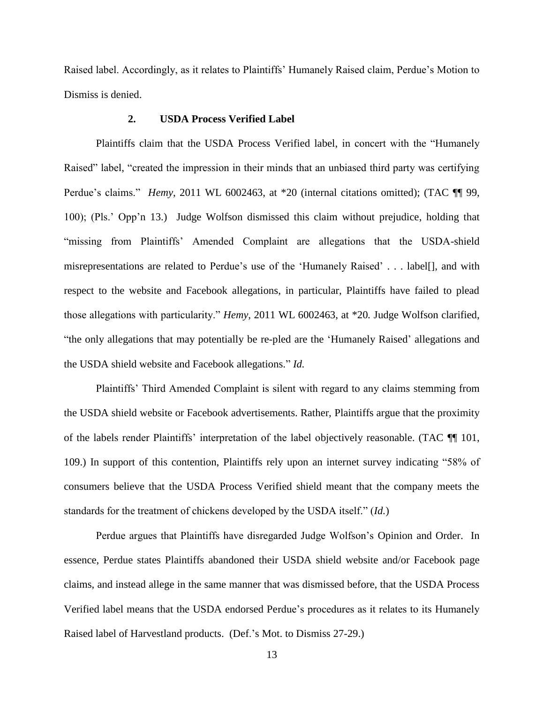Raised label. Accordingly, as it relates to Plaintiffs' Humanely Raised claim, Perdue's Motion to Dismiss is denied.

# **2. USDA Process Verified Label**

Plaintiffs claim that the USDA Process Verified label, in concert with the "Humanely Raised" label, "created the impression in their minds that an unbiased third party was certifying Perdue's claims." *Hemy*, 2011 WL 6002463, at \*20 (internal citations omitted); (TAC ¶ 99, 100); (Pls." Opp"n 13.) Judge Wolfson dismissed this claim without prejudice, holding that "missing from Plaintiffs" Amended Complaint are allegations that the USDA-shield misrepresentations are related to Perdue"s use of the "Humanely Raised" . . . label[], and with respect to the website and Facebook allegations, in particular, Plaintiffs have failed to plead those allegations with particularity." *Hemy*, 2011 WL 6002463, at \*20*.* Judge Wolfson clarified, "the only allegations that may potentially be re-pled are the "Humanely Raised" allegations and the USDA shield website and Facebook allegations." *Id.*

Plaintiffs" Third Amended Complaint is silent with regard to any claims stemming from the USDA shield website or Facebook advertisements. Rather, Plaintiffs argue that the proximity of the labels render Plaintiffs" interpretation of the label objectively reasonable. (TAC ¶¶ 101, 109.) In support of this contention, Plaintiffs rely upon an internet survey indicating "58% of consumers believe that the USDA Process Verified shield meant that the company meets the standards for the treatment of chickens developed by the USDA itself." (*Id.*)

Perdue argues that Plaintiffs have disregarded Judge Wolfson's Opinion and Order. In essence, Perdue states Plaintiffs abandoned their USDA shield website and/or Facebook page claims, and instead allege in the same manner that was dismissed before, that the USDA Process Verified label means that the USDA endorsed Perdue"s procedures as it relates to its Humanely Raised label of Harvestland products. (Def."s Mot. to Dismiss 27-29.)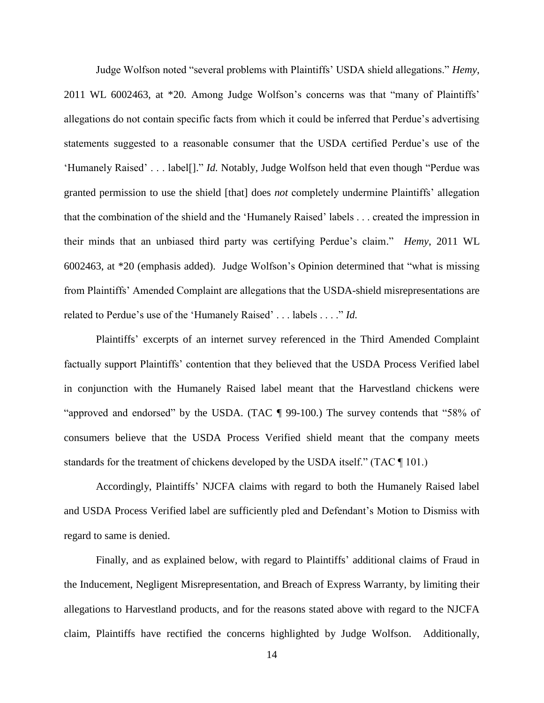Judge Wolfson noted "several problems with Plaintiffs" USDA shield allegations." *Hemy*, 2011 WL 6002463, at \*20*.* Among Judge Wolfson"s concerns was that "many of Plaintiffs" allegations do not contain specific facts from which it could be inferred that Perdue"s advertising statements suggested to a reasonable consumer that the USDA certified Perdue"s use of the "Humanely Raised" . . . label[]." *Id.* Notably, Judge Wolfson held that even though "Perdue was granted permission to use the shield [that] does *not* completely undermine Plaintiffs" allegation that the combination of the shield and the "Humanely Raised" labels . . . created the impression in their minds that an unbiased third party was certifying Perdue"s claim." *Hemy*, 2011 WL 6002463, at \*20 (emphasis added). Judge Wolfson"s Opinion determined that "what is missing from Plaintiffs" Amended Complaint are allegations that the USDA-shield misrepresentations are related to Perdue's use of the 'Humanely Raised' . . . labels . . . ." *Id.* 

Plaintiffs" excerpts of an internet survey referenced in the Third Amended Complaint factually support Plaintiffs' contention that they believed that the USDA Process Verified label in conjunction with the Humanely Raised label meant that the Harvestland chickens were "approved and endorsed" by the USDA. (TAC ¶ 99-100.) The survey contends that "58% of consumers believe that the USDA Process Verified shield meant that the company meets standards for the treatment of chickens developed by the USDA itself." (TAC ¶ 101.)

Accordingly, Plaintiffs" NJCFA claims with regard to both the Humanely Raised label and USDA Process Verified label are sufficiently pled and Defendant"s Motion to Dismiss with regard to same is denied.

Finally, and as explained below, with regard to Plaintiffs' additional claims of Fraud in the Inducement, Negligent Misrepresentation, and Breach of Express Warranty, by limiting their allegations to Harvestland products, and for the reasons stated above with regard to the NJCFA claim, Plaintiffs have rectified the concerns highlighted by Judge Wolfson. Additionally,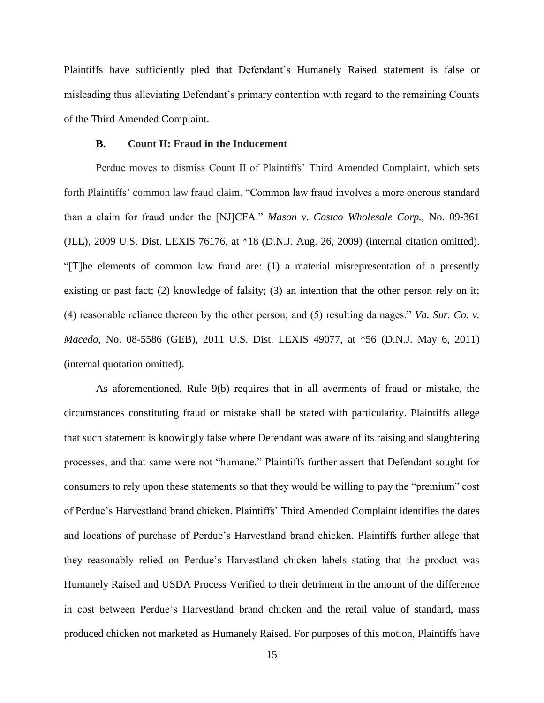Plaintiffs have sufficiently pled that Defendant"s Humanely Raised statement is false or misleading thus alleviating Defendant's primary contention with regard to the remaining Counts of the Third Amended Complaint.

### **B. Count II: Fraud in the Inducement**

Perdue moves to dismiss Count II of Plaintiffs' Third Amended Complaint, which sets forth Plaintiffs" common law fraud claim. "Common law fraud involves a more onerous standard than a claim for fraud under the [NJ]CFA." *Mason v. Costco Wholesale Corp.*, No. 09-361 (JLL), 2009 U.S. Dist. LEXIS 76176, at \*18 (D.N.J. Aug. 26, 2009) (internal citation omitted). "[T]he elements of common law fraud are: (1) a material misrepresentation of a presently existing or past fact; (2) knowledge of falsity; (3) an intention that the other person rely on it; (4) reasonable reliance thereon by the other person; and (5) resulting damages." *Va. Sur. Co. v. Macedo*, No. 08-5586 (GEB), 2011 U.S. Dist. LEXIS 49077, at \*56 (D.N.J. May 6, 2011) (internal quotation omitted).

As aforementioned, Rule 9(b) requires that in all averments of fraud or mistake, the circumstances constituting fraud or mistake shall be stated with particularity. Plaintiffs allege that such statement is knowingly false where Defendant was aware of its raising and slaughtering processes, and that same were not "humane." Plaintiffs further assert that Defendant sought for consumers to rely upon these statements so that they would be willing to pay the "premium" cost of Perdue"s Harvestland brand chicken. Plaintiffs" Third Amended Complaint identifies the dates and locations of purchase of Perdue"s Harvestland brand chicken. Plaintiffs further allege that they reasonably relied on Perdue"s Harvestland chicken labels stating that the product was Humanely Raised and USDA Process Verified to their detriment in the amount of the difference in cost between Perdue"s Harvestland brand chicken and the retail value of standard, mass produced chicken not marketed as Humanely Raised. For purposes of this motion, Plaintiffs have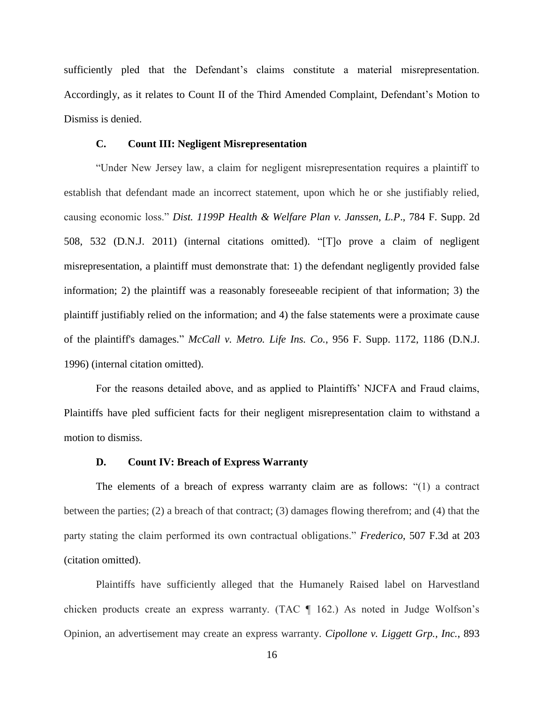sufficiently pled that the Defendant's claims constitute a material misrepresentation. Accordingly, as it relates to Count II of the Third Amended Complaint, Defendant's Motion to Dismiss is denied.

### **C. Count III: Negligent Misrepresentation**

"Under New Jersey law, a claim for negligent misrepresentation requires a plaintiff to establish that defendant made an incorrect statement, upon which he or she justifiably relied, causing economic loss." *Dist. 1199P Health & Welfare Plan v. Janssen, L.P*., 784 F. Supp. 2d 508, 532 (D.N.J. 2011) (internal citations omitted). "[T]o prove a claim of negligent misrepresentation, a plaintiff must demonstrate that: 1) the defendant negligently provided false information; 2) the plaintiff was a reasonably foreseeable recipient of that information; 3) the plaintiff justifiably relied on the information; and 4) the false statements were a proximate cause of the plaintiff's damages." *McCall v. Metro. Life Ins. Co.*, 956 F. Supp. 1172, 1186 (D.N.J. 1996) (internal citation omitted).

For the reasons detailed above, and as applied to Plaintiffs" NJCFA and Fraud claims, Plaintiffs have pled sufficient facts for their negligent misrepresentation claim to withstand a motion to dismiss.

#### **D. Count IV: Breach of Express Warranty**

The elements of a breach of express warranty claim are as follows: "(1) a contract between the parties; (2) a breach of that contract; (3) damages flowing therefrom; and (4) that the party stating the claim performed its own contractual obligations." *Frederico*, [507 F.3d at 203](https://a.next.westlaw.com/Link/Document/FullText?findType=Y&serNum=2013965253&pubNum=506&originationContext=document&transitionType=DocumentItem&contextData=(sc.Search)#co_pp_sp_506_203) (citation omitted).

Plaintiffs have sufficiently alleged that the Humanely Raised label on Harvestland chicken products create an express warranty. (TAC ¶ 162.) As noted in Judge Wolfson"s Opinion, an advertisement may create an express warranty. *[Cipollone v. Liggett Grp., Inc.](https://a.next.westlaw.com/Link/Document/FullText?findType=Y&serNum=1990017097&pubNum=350&originationContext=document&transitionType=DocumentItem&contextData=(sc.Search)#co_pp_sp_350_575)*, 893